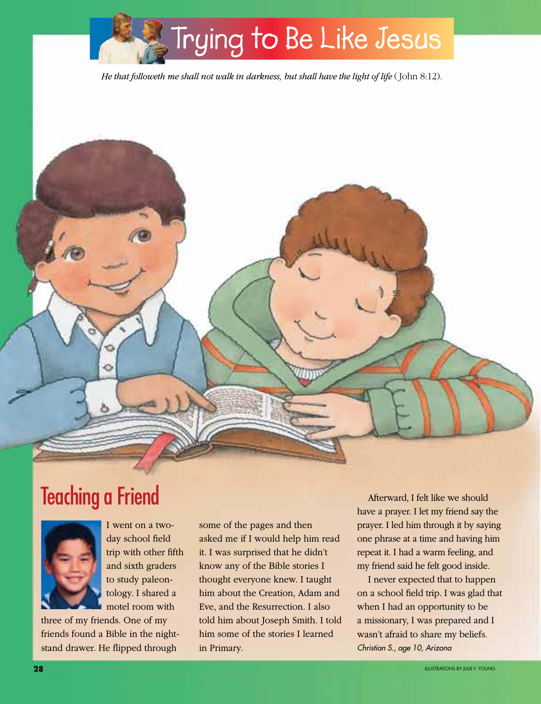

*He that followeth me shall not walk in darkness, but shall have the light of life* (John 8:12).





I went on a twoday school field trip with other fifth and sixth graders to study paleontology. I shared a motel room with

three of my friends. One of my friends found a Bible in the nightstand drawer. He flipped through

some of the pages and then asked me if I would help him read it. I was surprised that he didn't know any of the Bible stories I thought everyone knew. I taught him about the Creation, Adam and Eve, and the Resurrection. I also told him about Joseph Smith. I told him some of the stories I learned in Primary.

Afterward, I felt like we should have a prayer. I let my friend say the prayer. I led him through it by saying one phrase at a time and having him repeat it. I had a warm feeling, and my friend said he felt good inside.

I never expected that to happen on a school field trip. I was glad that when I had an opportunity to be a missionary, I was prepared and I wasn't afraid to share my beliefs. *Christian S., age 10, Arizona*